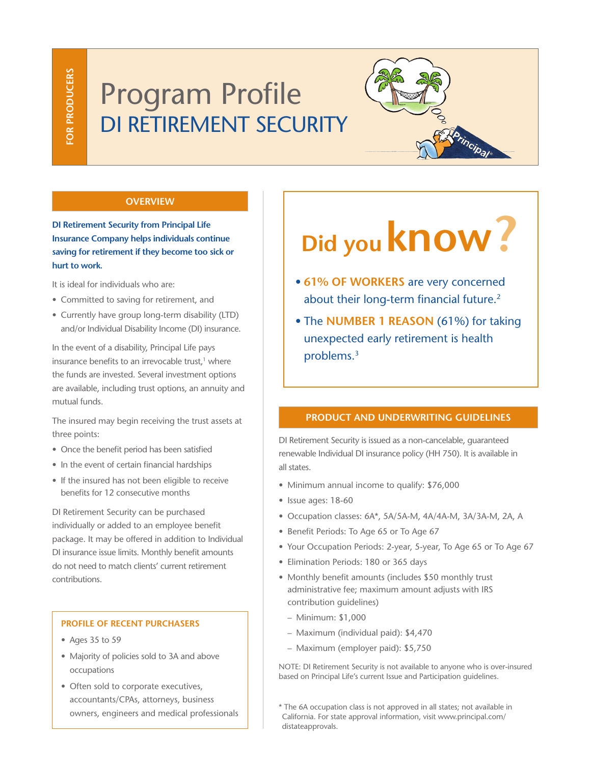# Program Profile DI RETIREMENT SECURITY



# **OVERVIEW**

**DI Retirement Security from Principal Life Insurance Company helps individuals continue saving for retirement if they become too sick or hurt to work.** 

It is ideal for individuals who are:

- Committed to saving for retirement, and
- Currently have group long-term disability (LTD) and/or Individual Disability Income (DI) insurance.

In the event of a disability, Principal Life pays insurance benefits to an irrevocable trust,<sup>1</sup> where the funds are invested. Several investment options are available, including trust options, an annuity and mutual funds.

The insured may begin receiving the trust assets at three points:

- Once the benefit period has been satisfied
- In the event of certain financial hardships
- If the insured has not been eligible to receive benefits for 12 consecutive months

DI Retirement Security can be purchased individually or added to an employee benefit package. It may be offered in addition to Individual DI insurance issue limits. Monthly benefit amounts do not need to match clients' current retirement contributions.

# **PROFILE OF RECENT PURCHASERS**

- Ages 35 to 59
- Majority of policies sold to 3A and above occupations
- Often sold to corporate executives, accountants/CPAs, attorneys, business owners, engineers and medical professionals

# **Did you know?**

- **61% OF WORKERS** are very concerned about their long-term financial future.<sup>2</sup>
- The **NUMBER 1 REASON** (61%) for taking unexpected early retirement is health problems.3

# **PRODUCT AND UNDERWRITING GUIDELINES**

DI Retirement Security is issued as a non-cancelable, guaranteed renewable Individual DI insurance policy (HH 750). It is available in all states.

- Minimum annual income to qualify: \$76,000
- Issue ages: 18-60
- Occupation classes: 6A\*, 5A/5A-M, 4A/4A-M, 3A/3A-M, 2A, A
- Benefit Periods: To Age 65 or To Age 67
- Your Occupation Periods: 2-year, 5-year, To Age 65 or To Age 67
- Elimination Periods: 180 or 365 days
- Monthly benefit amounts (includes \$50 monthly trust administrative fee; maximum amount adjusts with IRS contribution guidelines)
	- Minimum: \$1,000
	- Maximum (individual paid): \$4,470
	- Maximum (employer paid): \$5,750

NOTE: DI Retirement Security is not available to anyone who is over-insured based on Principal Life's current Issue and Participation guidelines.

\* The 6A occupation class is not approved in all states; not available in California. For state approval information, visit www.principal.com/ distateapprovals.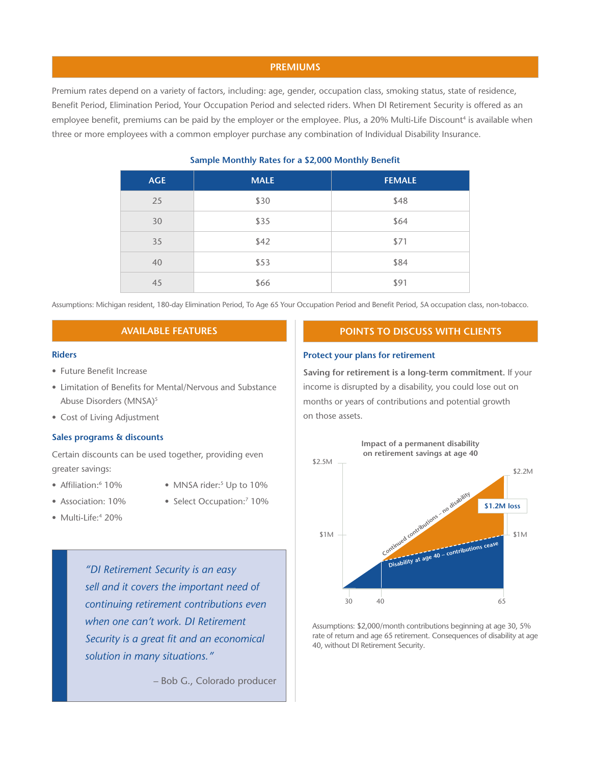## **PREMIUMS**

Premium rates depend on a variety of factors, including: age, gender, occupation class, smoking status, state of residence, Benefit Period, Elimination Period, Your Occupation Period and selected riders. When DI Retirement Security is offered as an employee benefit, premiums can be paid by the employer or the employee. Plus, a 20% Multi-Life Discount<sup>4</sup> is available when three or more employees with a common employer purchase any combination of Individual Disability Insurance.

| <b>AGE</b> | <b>MALE</b> | <b>FEMALE</b> |
|------------|-------------|---------------|
| 25         | \$30        | \$48          |
| 30         | \$35        | \$64          |
| 35         | \$42        | \$71          |
| 40         | \$53        | \$84          |
| 45         | \$66        | \$91          |

# **Sample Monthly Rates for a \$2,000 Monthly Benefit**

Assumptions: Michigan resident, 180-day Elimination Period, To Age 65 Your Occupation Period and Benefit Period, 5A occupation class, non-tobacco.

# **AVAILABLE FEATURES**

#### **Riders**

- Future Benefit Increase
- Limitation of Benefits for Mental/Nervous and Substance Abuse Disorders (MNSA)<sup>5</sup>
- Cost of Living Adjustment

#### **Sales programs & discounts**

Certain discounts can be used together, providing even greater savings:

- Affiliation:<sup>6</sup> 10%
	- 10% MNSA rider:<sup>5</sup> Up to 10%
- Association: 10% Select Occupation:<sup>7</sup> 10%
- 
- Multi-Life:<sup>4</sup> 20%

*"DI Retirement Security is an easy sell and it covers the important need of continuing retirement contributions even when one can't work. DI Retirement Security is a great fit and an economical solution in many situations."* 

– Bob G., Colorado producer

# **POINTS TO DISCUSS WITH CLIENTS**

## **Protect your plans for retirement**

**Saving for retirement is a long-term commitment.** If your income is disrupted by a disability, you could lose out on months or years of contributions and potential growth on those assets.



Assumptions: \$2,000/month contributions beginning at age 30, 5% rate of return and age 65 retirement. Consequences of disability at age 40, without DI Retirement Security.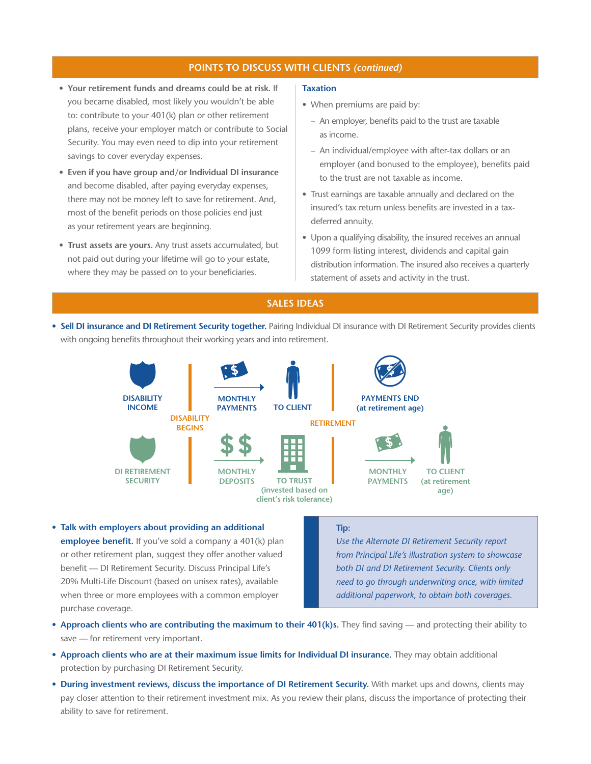# **POINTS TO DISCUSS WITH CLIENTS** *(continued)*

- **Your retirement funds and dreams could be at risk.** If you became disabled, most likely you wouldn't be able to: contribute to your 401(k) plan or other retirement plans, receive your employer match or contribute to Social Security. You may even need to dip into your retirement savings to cover everyday expenses.
- **Even if you have group and/or Individual DI insurance** and become disabled, after paying everyday expenses, there may not be money left to save for retirement. And, most of the benefit periods on those policies end just as your retirement years are beginning.
- **Trust assets are yours.** Any trust assets accumulated, but not paid out during your lifetime will go to your estate, where they may be passed on to your beneficiaries.

#### **Taxation**

- When premiums are paid by:
	- An employer, benefits paid to the trust are taxable as income.
	- An individual/employee with after-tax dollars or an employer (and bonused to the employee), benefits paid to the trust are not taxable as income.
- Trust earnings are taxable annually and declared on the insured's tax return unless benefits are invested in a taxdeferred annuity.
- Upon a qualifying disability, the insured receives an annual 1099 form listing interest, dividends and capital gain distribution information. The insured also receives a quarterly statement of assets and activity in the trust.

# **SALES IDEAS**

• **Sell DI insurance and DI Retirement Security together.** Pairing Individual DI insurance with DI Retirement Security provides clients with ongoing benefits throughout their working years and into retirement.



• **Talk with employers about providing an additional employee benefit.** If you've sold a company a 401(k) plan or other retirement plan, suggest they offer another valued benefit — DI Retirement Security. Discuss Principal Life's 20% Multi-Life Discount (based on unisex rates), available when three or more employees with a common employer purchase coverage.

#### **Tip:**

*Use the Alternate DI Retirement Security report from Principal Life's illustration system to showcase both DI and DI Retirement Security. Clients only need to go through underwriting once, with limited additional paperwork, to obtain both coverages.*

- **Approach clients who are contributing the maximum to their 401(k)s.** They find saving and protecting their ability to save — for retirement very important.
- **Approach clients who are at their maximum issue limits for Individual DI insurance.** They may obtain additional protection by purchasing DI Retirement Security.
- **During investment reviews, discuss the importance of DI Retirement Security.** With market ups and downs, clients may pay closer attention to their retirement investment mix. As you review their plans, discuss the importance of protecting their ability to save for retirement.